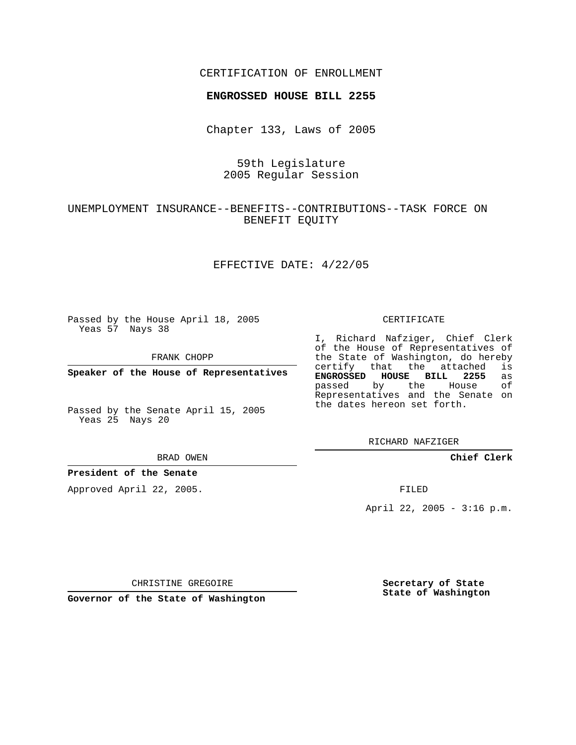### CERTIFICATION OF ENROLLMENT

#### **ENGROSSED HOUSE BILL 2255**

Chapter 133, Laws of 2005

## 59th Legislature 2005 Regular Session

## UNEMPLOYMENT INSURANCE--BENEFITS--CONTRIBUTIONS--TASK FORCE ON BENEFIT EQUITY

### EFFECTIVE DATE: 4/22/05

Passed by the House April 18, 2005 Yeas 57 Nays 38

FRANK CHOPP

**Speaker of the House of Representatives**

Passed by the Senate April 15, 2005 Yeas 25 Nays 20

#### BRAD OWEN

#### **President of the Senate**

Approved April 22, 2005.

#### CERTIFICATE

I, Richard Nafziger, Chief Clerk of the House of Representatives of the State of Washington, do hereby<br>certify that the attached is certify that the attached **ENGROSSED HOUSE BILL 2255** as passed by the Representatives and the Senate on the dates hereon set forth.

RICHARD NAFZIGER

**Chief Clerk**

FILED

April 22, 2005 - 3:16 p.m.

CHRISTINE GREGOIRE

**Governor of the State of Washington**

**Secretary of State State of Washington**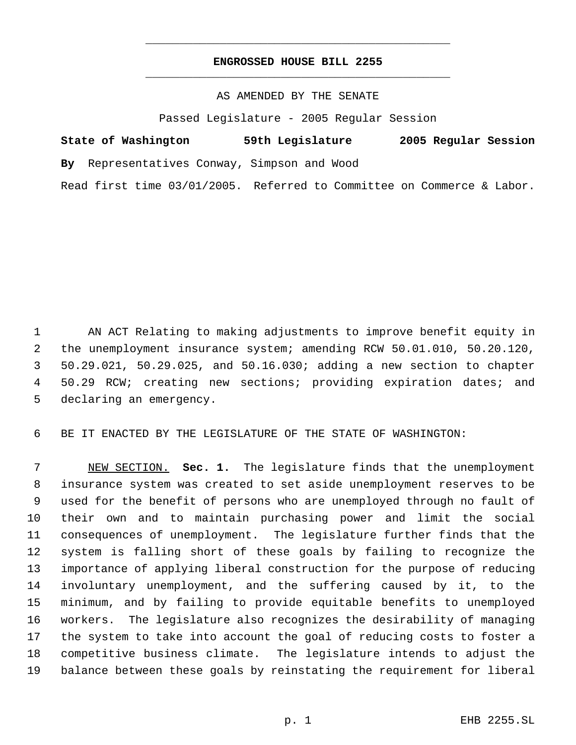# **ENGROSSED HOUSE BILL 2255** \_\_\_\_\_\_\_\_\_\_\_\_\_\_\_\_\_\_\_\_\_\_\_\_\_\_\_\_\_\_\_\_\_\_\_\_\_\_\_\_\_\_\_\_\_

\_\_\_\_\_\_\_\_\_\_\_\_\_\_\_\_\_\_\_\_\_\_\_\_\_\_\_\_\_\_\_\_\_\_\_\_\_\_\_\_\_\_\_\_\_

AS AMENDED BY THE SENATE

Passed Legislature - 2005 Regular Session

|  | State of Washington |                                             | 59th Legislature |  |  | 2005 Regular Session                                                   |  |  |
|--|---------------------|---------------------------------------------|------------------|--|--|------------------------------------------------------------------------|--|--|
|  |                     | By Representatives Conway, Simpson and Wood |                  |  |  |                                                                        |  |  |
|  |                     |                                             |                  |  |  | Read first time 03/01/2005. Referred to Committee on Commerce & Labor. |  |  |

 AN ACT Relating to making adjustments to improve benefit equity in the unemployment insurance system; amending RCW 50.01.010, 50.20.120, 50.29.021, 50.29.025, and 50.16.030; adding a new section to chapter 50.29 RCW; creating new sections; providing expiration dates; and declaring an emergency.

BE IT ENACTED BY THE LEGISLATURE OF THE STATE OF WASHINGTON:

 NEW SECTION. **Sec. 1.** The legislature finds that the unemployment insurance system was created to set aside unemployment reserves to be used for the benefit of persons who are unemployed through no fault of their own and to maintain purchasing power and limit the social consequences of unemployment. The legislature further finds that the system is falling short of these goals by failing to recognize the importance of applying liberal construction for the purpose of reducing involuntary unemployment, and the suffering caused by it, to the minimum, and by failing to provide equitable benefits to unemployed workers. The legislature also recognizes the desirability of managing the system to take into account the goal of reducing costs to foster a competitive business climate. The legislature intends to adjust the balance between these goals by reinstating the requirement for liberal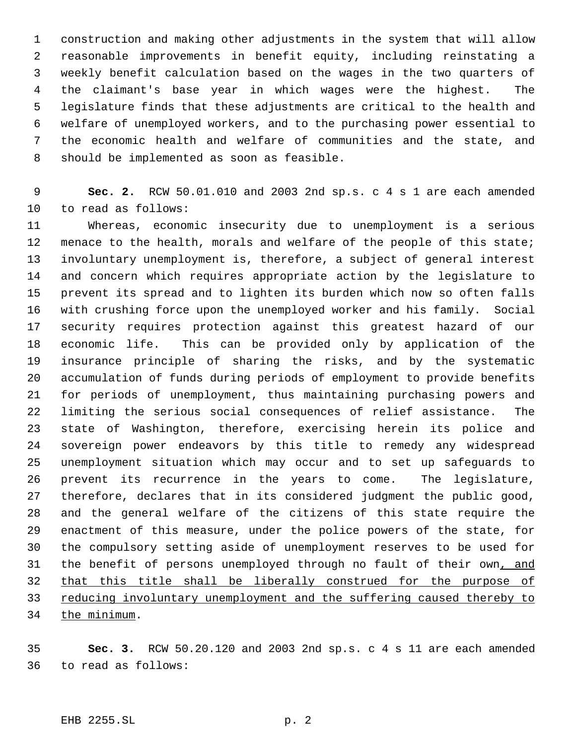construction and making other adjustments in the system that will allow reasonable improvements in benefit equity, including reinstating a weekly benefit calculation based on the wages in the two quarters of the claimant's base year in which wages were the highest. The legislature finds that these adjustments are critical to the health and welfare of unemployed workers, and to the purchasing power essential to the economic health and welfare of communities and the state, and should be implemented as soon as feasible.

 **Sec. 2.** RCW 50.01.010 and 2003 2nd sp.s. c 4 s 1 are each amended to read as follows:

 Whereas, economic insecurity due to unemployment is a serious 12 menace to the health, morals and welfare of the people of this state; involuntary unemployment is, therefore, a subject of general interest and concern which requires appropriate action by the legislature to prevent its spread and to lighten its burden which now so often falls with crushing force upon the unemployed worker and his family. Social security requires protection against this greatest hazard of our economic life. This can be provided only by application of the insurance principle of sharing the risks, and by the systematic accumulation of funds during periods of employment to provide benefits for periods of unemployment, thus maintaining purchasing powers and limiting the serious social consequences of relief assistance. The state of Washington, therefore, exercising herein its police and sovereign power endeavors by this title to remedy any widespread unemployment situation which may occur and to set up safeguards to prevent its recurrence in the years to come. The legislature, therefore, declares that in its considered judgment the public good, and the general welfare of the citizens of this state require the enactment of this measure, under the police powers of the state, for the compulsory setting aside of unemployment reserves to be used for 31 the benefit of persons unemployed through no fault of their own, and that this title shall be liberally construed for the purpose of 33 reducing involuntary unemployment and the suffering caused thereby to the minimum.

 **Sec. 3.** RCW 50.20.120 and 2003 2nd sp.s. c 4 s 11 are each amended to read as follows: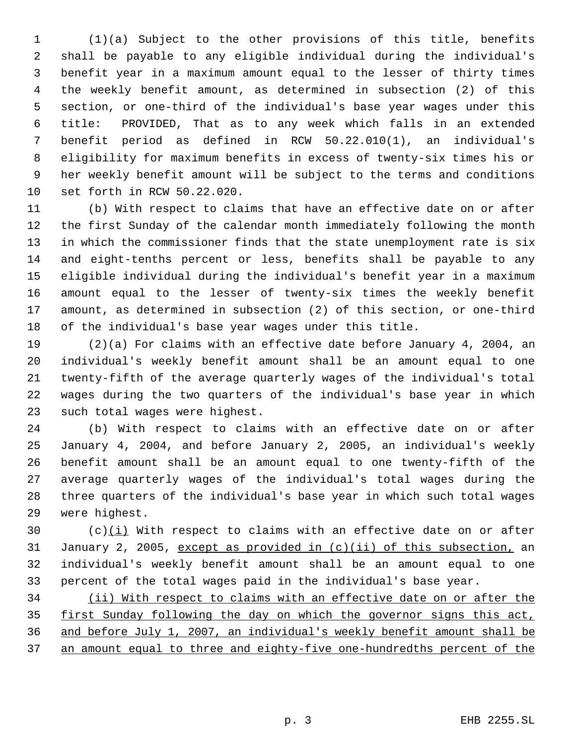(1)(a) Subject to the other provisions of this title, benefits shall be payable to any eligible individual during the individual's benefit year in a maximum amount equal to the lesser of thirty times the weekly benefit amount, as determined in subsection (2) of this section, or one-third of the individual's base year wages under this title: PROVIDED, That as to any week which falls in an extended benefit period as defined in RCW 50.22.010(1), an individual's eligibility for maximum benefits in excess of twenty-six times his or her weekly benefit amount will be subject to the terms and conditions set forth in RCW 50.22.020.

 (b) With respect to claims that have an effective date on or after the first Sunday of the calendar month immediately following the month in which the commissioner finds that the state unemployment rate is six and eight-tenths percent or less, benefits shall be payable to any eligible individual during the individual's benefit year in a maximum amount equal to the lesser of twenty-six times the weekly benefit amount, as determined in subsection (2) of this section, or one-third of the individual's base year wages under this title.

 (2)(a) For claims with an effective date before January 4, 2004, an individual's weekly benefit amount shall be an amount equal to one twenty-fifth of the average quarterly wages of the individual's total wages during the two quarters of the individual's base year in which such total wages were highest.

 (b) With respect to claims with an effective date on or after January 4, 2004, and before January 2, 2005, an individual's weekly benefit amount shall be an amount equal to one twenty-fifth of the average quarterly wages of the individual's total wages during the three quarters of the individual's base year in which such total wages were highest.

30 (c) $(i)$  With respect to claims with an effective date on or after January 2, 2005, except as provided in (c)(ii) of this subsection, an individual's weekly benefit amount shall be an amount equal to one percent of the total wages paid in the individual's base year.

 (ii) With respect to claims with an effective date on or after the first Sunday following the day on which the governor signs this act, and before July 1, 2007, an individual's weekly benefit amount shall be an amount equal to three and eighty-five one-hundredths percent of the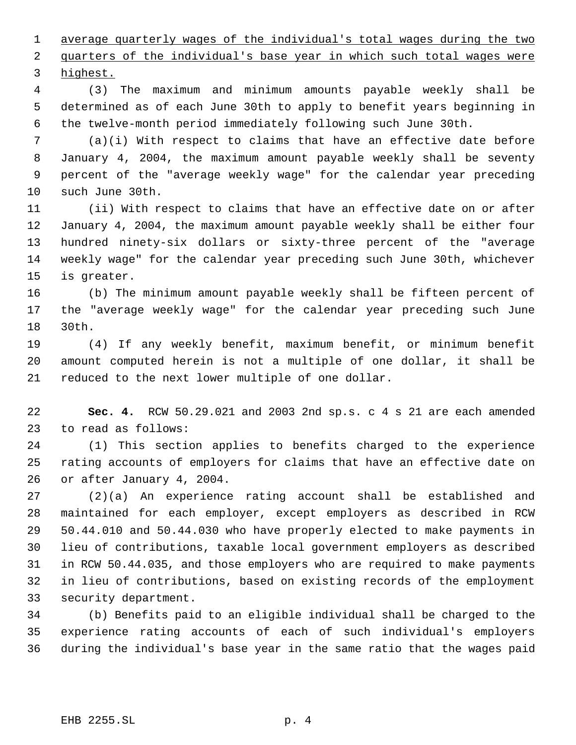average quarterly wages of the individual's total wages during the two 2 quarters of the individual's base year in which such total wages were highest.

 (3) The maximum and minimum amounts payable weekly shall be determined as of each June 30th to apply to benefit years beginning in the twelve-month period immediately following such June 30th.

 (a)(i) With respect to claims that have an effective date before January 4, 2004, the maximum amount payable weekly shall be seventy percent of the "average weekly wage" for the calendar year preceding such June 30th.

 (ii) With respect to claims that have an effective date on or after January 4, 2004, the maximum amount payable weekly shall be either four hundred ninety-six dollars or sixty-three percent of the "average weekly wage" for the calendar year preceding such June 30th, whichever is greater.

 (b) The minimum amount payable weekly shall be fifteen percent of the "average weekly wage" for the calendar year preceding such June 30th.

 (4) If any weekly benefit, maximum benefit, or minimum benefit amount computed herein is not a multiple of one dollar, it shall be reduced to the next lower multiple of one dollar.

 **Sec. 4.** RCW 50.29.021 and 2003 2nd sp.s. c 4 s 21 are each amended to read as follows:

 (1) This section applies to benefits charged to the experience rating accounts of employers for claims that have an effective date on or after January 4, 2004.

 (2)(a) An experience rating account shall be established and maintained for each employer, except employers as described in RCW 50.44.010 and 50.44.030 who have properly elected to make payments in lieu of contributions, taxable local government employers as described in RCW 50.44.035, and those employers who are required to make payments in lieu of contributions, based on existing records of the employment security department.

 (b) Benefits paid to an eligible individual shall be charged to the experience rating accounts of each of such individual's employers during the individual's base year in the same ratio that the wages paid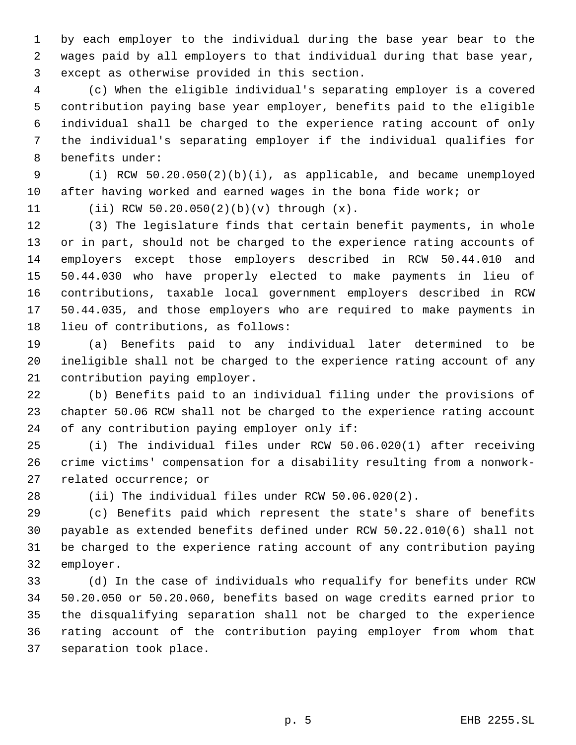by each employer to the individual during the base year bear to the wages paid by all employers to that individual during that base year, except as otherwise provided in this section.

 (c) When the eligible individual's separating employer is a covered contribution paying base year employer, benefits paid to the eligible individual shall be charged to the experience rating account of only the individual's separating employer if the individual qualifies for benefits under:

 (i) RCW 50.20.050(2)(b)(i), as applicable, and became unemployed after having worked and earned wages in the bona fide work; or

(ii) RCW 50.20.050(2)(b)(v) through (x).

 (3) The legislature finds that certain benefit payments, in whole or in part, should not be charged to the experience rating accounts of employers except those employers described in RCW 50.44.010 and 50.44.030 who have properly elected to make payments in lieu of contributions, taxable local government employers described in RCW 50.44.035, and those employers who are required to make payments in lieu of contributions, as follows:

 (a) Benefits paid to any individual later determined to be ineligible shall not be charged to the experience rating account of any contribution paying employer.

 (b) Benefits paid to an individual filing under the provisions of chapter 50.06 RCW shall not be charged to the experience rating account of any contribution paying employer only if:

 (i) The individual files under RCW 50.06.020(1) after receiving crime victims' compensation for a disability resulting from a nonwork-related occurrence; or

(ii) The individual files under RCW 50.06.020(2).

 (c) Benefits paid which represent the state's share of benefits payable as extended benefits defined under RCW 50.22.010(6) shall not be charged to the experience rating account of any contribution paying employer.

 (d) In the case of individuals who requalify for benefits under RCW 50.20.050 or 50.20.060, benefits based on wage credits earned prior to the disqualifying separation shall not be charged to the experience rating account of the contribution paying employer from whom that separation took place.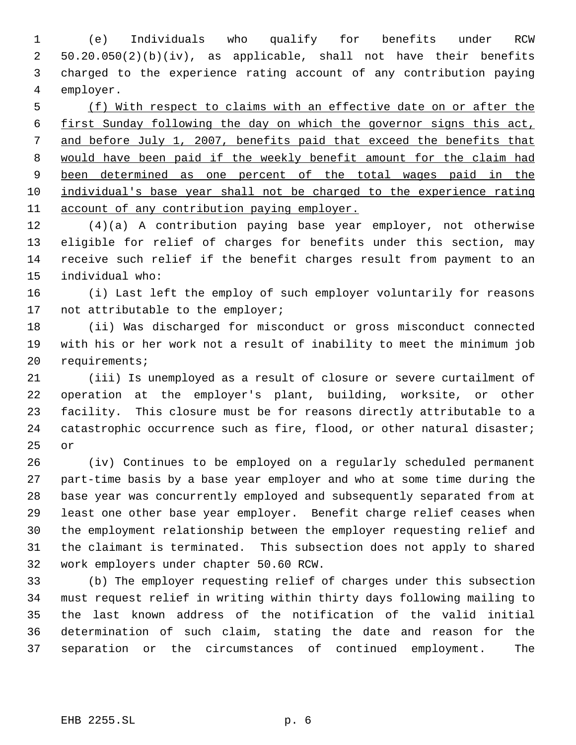(e) Individuals who qualify for benefits under RCW 50.20.050(2)(b)(iv), as applicable, shall not have their benefits charged to the experience rating account of any contribution paying employer.

 (f) With respect to claims with an effective date on or after the first Sunday following the day on which the governor signs this act, and before July 1, 2007, benefits paid that exceed the benefits that would have been paid if the weekly benefit amount for the claim had 9 been determined as one percent of the total wages paid in the individual's base year shall not be charged to the experience rating account of any contribution paying employer.

 (4)(a) A contribution paying base year employer, not otherwise eligible for relief of charges for benefits under this section, may receive such relief if the benefit charges result from payment to an individual who:

 (i) Last left the employ of such employer voluntarily for reasons 17 not attributable to the employer;

 (ii) Was discharged for misconduct or gross misconduct connected with his or her work not a result of inability to meet the minimum job requirements;

 (iii) Is unemployed as a result of closure or severe curtailment of operation at the employer's plant, building, worksite, or other facility. This closure must be for reasons directly attributable to a 24 catastrophic occurrence such as fire, flood, or other natural disaster; or

 (iv) Continues to be employed on a regularly scheduled permanent part-time basis by a base year employer and who at some time during the base year was concurrently employed and subsequently separated from at least one other base year employer. Benefit charge relief ceases when the employment relationship between the employer requesting relief and the claimant is terminated. This subsection does not apply to shared work employers under chapter 50.60 RCW.

 (b) The employer requesting relief of charges under this subsection must request relief in writing within thirty days following mailing to the last known address of the notification of the valid initial determination of such claim, stating the date and reason for the separation or the circumstances of continued employment. The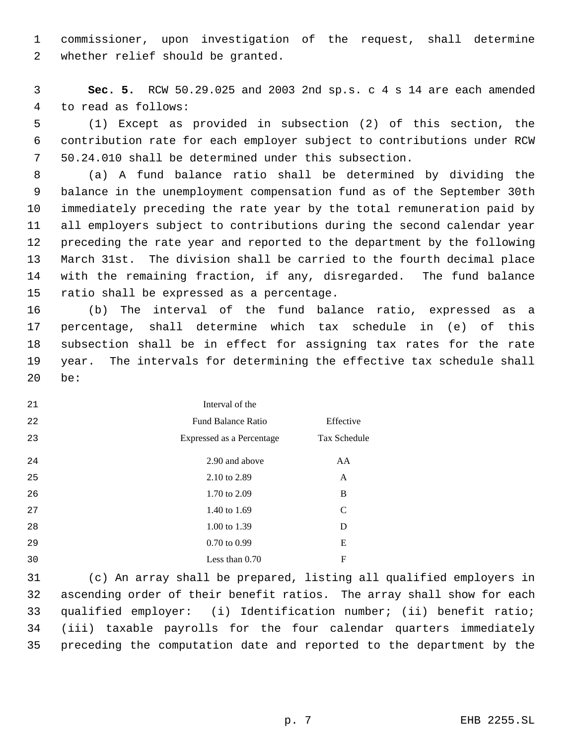commissioner, upon investigation of the request, shall determine whether relief should be granted.

 **Sec. 5.** RCW 50.29.025 and 2003 2nd sp.s. c 4 s 14 are each amended to read as follows:

 (1) Except as provided in subsection (2) of this section, the contribution rate for each employer subject to contributions under RCW 50.24.010 shall be determined under this subsection.

 (a) A fund balance ratio shall be determined by dividing the balance in the unemployment compensation fund as of the September 30th immediately preceding the rate year by the total remuneration paid by all employers subject to contributions during the second calendar year preceding the rate year and reported to the department by the following March 31st. The division shall be carried to the fourth decimal place with the remaining fraction, if any, disregarded. The fund balance ratio shall be expressed as a percentage.

 (b) The interval of the fund balance ratio, expressed as a percentage, shall determine which tax schedule in (e) of this subsection shall be in effect for assigning tax rates for the rate year. The intervals for determining the effective tax schedule shall be:

| 21 | Interval of the           |               |
|----|---------------------------|---------------|
| 22 | <b>Fund Balance Ratio</b> | Effective     |
| 23 | Expressed as a Percentage | Tax Schedule  |
| 24 | 2.90 and above            | AA            |
| 25 | 2.10 to 2.89              | A             |
| 26 | 1.70 to 2.09              | B             |
| 27 | 1.40 to 1.69              | $\mathcal{C}$ |
| 28 | 1.00 to 1.39              | D             |
| 29 | $0.70 \text{ to } 0.99$   | E             |
| 30 | Less than $0.70$          | F             |

 (c) An array shall be prepared, listing all qualified employers in ascending order of their benefit ratios. The array shall show for each qualified employer: (i) Identification number; (ii) benefit ratio; (iii) taxable payrolls for the four calendar quarters immediately preceding the computation date and reported to the department by the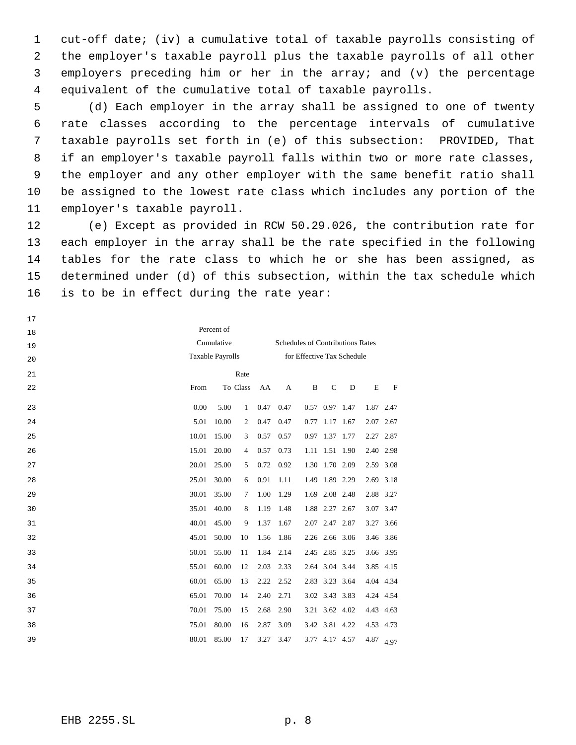cut-off date; (iv) a cumulative total of taxable payrolls consisting of the employer's taxable payroll plus the taxable payrolls of all other employers preceding him or her in the array; and (v) the percentage equivalent of the cumulative total of taxable payrolls.

 (d) Each employer in the array shall be assigned to one of twenty rate classes according to the percentage intervals of cumulative taxable payrolls set forth in (e) of this subsection: PROVIDED, That if an employer's taxable payroll falls within two or more rate classes, the employer and any other employer with the same benefit ratio shall be assigned to the lowest rate class which includes any portion of the employer's taxable payroll.

 (e) Except as provided in RCW 50.29.026, the contribution rate for each employer in the array shall be the rate specified in the following tables for the rate class to which he or she has been assigned, as determined under (d) of this subsection, within the tax schedule which is to be in effect during the rate year:

 Percent of Cumulative Taxable Payrolls Schedules of Contributions Rates for Effective Tax Schedule From To Rate To Class AA A B C D E F 0.00 5.00 1 0.47 0.47 0.57 0.97 1.47 1.87 2.47 5.01 10.00 2 0.47 0.47 0.77 1.17 1.67 2.07 2.67 10.01 15.00 3 0.57 0.57 0.97 1.37 1.77 2.27 2.87 15.01 20.00 4 0.57 0.73 1.11 1.51 1.90 2.40 2.98 20.01 25.00 5 0.72 0.92 1.30 1.70 2.09 2.59 3.08 25.01 30.00 6 0.91 1.11 1.49 1.89 2.29 2.69 3.18 30.01 35.00 7 1.00 1.29 1.69 2.08 2.48 2.88 3.27 35.01 40.00 8 1.19 1.48 1.88 2.27 2.67 3.07 3.47 40.01 45.00 9 1.37 1.67 2.07 2.47 2.87 3.27 3.66 45.01 50.00 10 1.56 1.86 2.26 2.66 3.06 3.46 3.86 50.01 55.00 11 1.84 2.14 2.45 2.85 3.25 3.66 3.95 55.01 60.00 12 2.03 2.33 2.64 3.04 3.44 3.85 4.15 60.01 65.00 13 2.22 2.52 2.83 3.23 3.64 4.04 4.34 65.01 70.00 14 2.40 2.71 3.02 3.43 3.83 4.24 4.54 70.01 75.00 15 2.68 2.90 3.21 3.62 4.02 4.43 4.63 75.01 80.00 16 2.87 3.09 3.42 3.81 4.22 4.53 4.73 80.01 85.00 17 3.27 3.47 3.77 4.17 4.57 4.87 4.97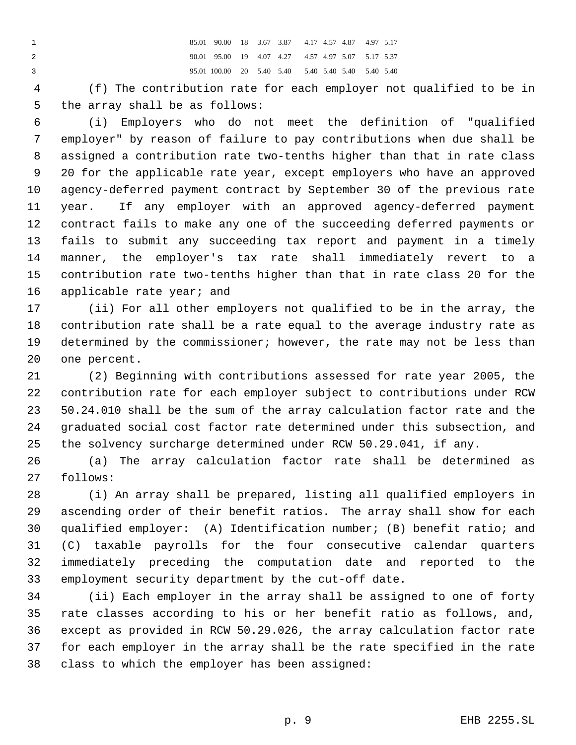85.01 90.00 18 3.67 3.87 4.17 4.57 4.87 4.97 5.17 90.01 95.00 19 4.07 4.27 4.57 4.97 5.07 5.17 5.37 95.01 100.00 20 5.40 5.40 5.40 5.40 5.40 5.40 5.40

 (f) The contribution rate for each employer not qualified to be in the array shall be as follows:

 (i) Employers who do not meet the definition of "qualified employer" by reason of failure to pay contributions when due shall be assigned a contribution rate two-tenths higher than that in rate class 20 for the applicable rate year, except employers who have an approved agency-deferred payment contract by September 30 of the previous rate year. If any employer with an approved agency-deferred payment contract fails to make any one of the succeeding deferred payments or fails to submit any succeeding tax report and payment in a timely manner, the employer's tax rate shall immediately revert to a contribution rate two-tenths higher than that in rate class 20 for the applicable rate year; and

 (ii) For all other employers not qualified to be in the array, the contribution rate shall be a rate equal to the average industry rate as determined by the commissioner; however, the rate may not be less than one percent.

 (2) Beginning with contributions assessed for rate year 2005, the contribution rate for each employer subject to contributions under RCW 50.24.010 shall be the sum of the array calculation factor rate and the graduated social cost factor rate determined under this subsection, and the solvency surcharge determined under RCW 50.29.041, if any.

 (a) The array calculation factor rate shall be determined as follows:

 (i) An array shall be prepared, listing all qualified employers in ascending order of their benefit ratios. The array shall show for each qualified employer: (A) Identification number; (B) benefit ratio; and (C) taxable payrolls for the four consecutive calendar quarters immediately preceding the computation date and reported to the employment security department by the cut-off date.

 (ii) Each employer in the array shall be assigned to one of forty rate classes according to his or her benefit ratio as follows, and, except as provided in RCW 50.29.026, the array calculation factor rate for each employer in the array shall be the rate specified in the rate class to which the employer has been assigned: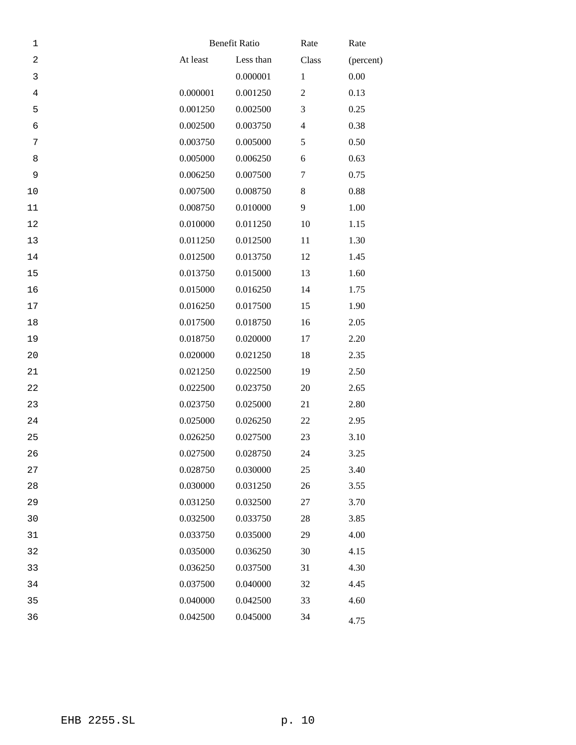| 1              |          | <b>Benefit Ratio</b> |                | Rate      |  |
|----------------|----------|----------------------|----------------|-----------|--|
| $\sqrt{2}$     | At least | Less than            | Class          | (percent) |  |
| $\mathbf{3}$   |          | 0.000001             | $\mathbf{1}$   | 0.00      |  |
| $\overline{4}$ | 0.000001 | 0.001250             | $\mathbf{2}$   | 0.13      |  |
| 5              | 0.001250 | 0.002500             | 3              | 0.25      |  |
| $\epsilon$     | 0.002500 | 0.003750             | $\overline{4}$ | 0.38      |  |
| 7              | 0.003750 | 0.005000             | 5              | 0.50      |  |
| 8              | 0.005000 | 0.006250             | 6              | 0.63      |  |
| 9              | 0.006250 | 0.007500             | 7              | 0.75      |  |
| 10             | 0.007500 | 0.008750             | $8\,$          | 0.88      |  |
| 11             | 0.008750 | 0.010000             | 9              | 1.00      |  |
| 12             | 0.010000 | 0.011250             | 10             | 1.15      |  |
| 13             | 0.011250 | 0.012500             | 11             | 1.30      |  |
| 14             | 0.012500 | 0.013750             | 12             | 1.45      |  |
| 15             | 0.013750 | 0.015000             | 13             | 1.60      |  |
| 16             | 0.015000 | 0.016250             | 14             | 1.75      |  |
| $17$           | 0.016250 | 0.017500             | 15             | 1.90      |  |
| 18             | 0.017500 | 0.018750             | 16             | 2.05      |  |
| 19             | 0.018750 | 0.020000             | 17             | 2.20      |  |
| 20             | 0.020000 | 0.021250             | 18             | 2.35      |  |
| 21             | 0.021250 | 0.022500             | 19             | 2.50      |  |
| 22             | 0.022500 | 0.023750             | 20             | 2.65      |  |
| 23             | 0.023750 | 0.025000             | 21             | 2.80      |  |
| 24             | 0.025000 | 0.026250             | 22             | 2.95      |  |
| 25             | 0.026250 | 0.027500             | 23             | 3.10      |  |
| 26             | 0.027500 | 0.028750             | 24             | 3.25      |  |
| 27             | 0.028750 | 0.030000             | 25             | 3.40      |  |
| 28             | 0.030000 | 0.031250             | 26             | 3.55      |  |
| 29             | 0.031250 | 0.032500             | 27             | 3.70      |  |
| 30             | 0.032500 | 0.033750             | 28             | 3.85      |  |
| 31             | 0.033750 | 0.035000             | 29             | 4.00      |  |
| 32             | 0.035000 | 0.036250             | 30             | 4.15      |  |
| 33             | 0.036250 | 0.037500             | 31             | 4.30      |  |
| 34             | 0.037500 | 0.040000             | 32             | 4.45      |  |
| 35             | 0.040000 | 0.042500             | 33             | 4.60      |  |
| 36             | 0.042500 | 0.045000             | 34             | 4.75      |  |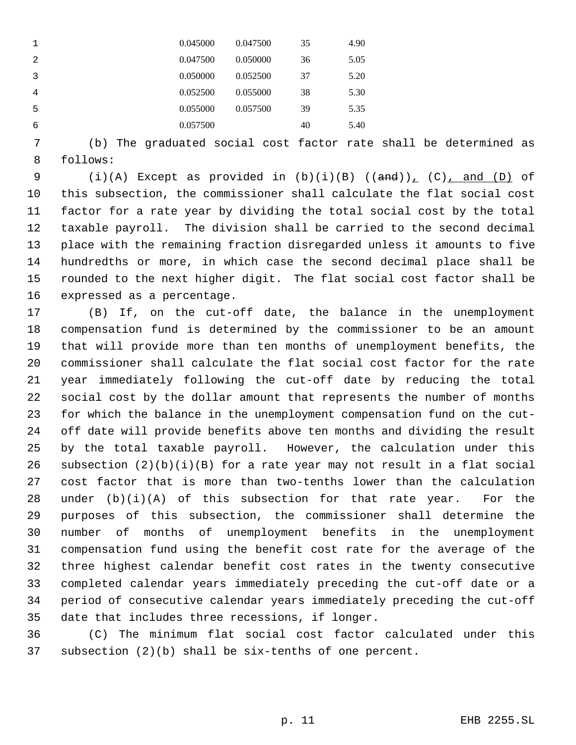|   | 0.045000 | 0.047500 | 35 | 4.90 |
|---|----------|----------|----|------|
| 2 | 0.047500 | 0.050000 | 36 | 5.05 |
| 3 | 0.050000 | 0.052500 | 37 | 5.20 |
| 4 | 0.052500 | 0.055000 | 38 | 5.30 |
| 5 | 0.055000 | 0.057500 | 39 | 5.35 |
| 6 | 0.057500 |          | 40 | 5.40 |

 (b) The graduated social cost factor rate shall be determined as follows:

 $(i)(A)$  Except as provided in  $(b)(i)(B)$   $((and))_{L}$   $(C)$ , and  $(D)$  of this subsection, the commissioner shall calculate the flat social cost factor for a rate year by dividing the total social cost by the total taxable payroll. The division shall be carried to the second decimal place with the remaining fraction disregarded unless it amounts to five hundredths or more, in which case the second decimal place shall be rounded to the next higher digit. The flat social cost factor shall be expressed as a percentage.

 (B) If, on the cut-off date, the balance in the unemployment compensation fund is determined by the commissioner to be an amount that will provide more than ten months of unemployment benefits, the commissioner shall calculate the flat social cost factor for the rate year immediately following the cut-off date by reducing the total social cost by the dollar amount that represents the number of months for which the balance in the unemployment compensation fund on the cut- off date will provide benefits above ten months and dividing the result by the total taxable payroll. However, the calculation under this 26 subsection  $(2)(b)(i)(B)$  for a rate year may not result in a flat social cost factor that is more than two-tenths lower than the calculation under (b)(i)(A) of this subsection for that rate year. For the purposes of this subsection, the commissioner shall determine the number of months of unemployment benefits in the unemployment compensation fund using the benefit cost rate for the average of the three highest calendar benefit cost rates in the twenty consecutive completed calendar years immediately preceding the cut-off date or a period of consecutive calendar years immediately preceding the cut-off date that includes three recessions, if longer.

 (C) The minimum flat social cost factor calculated under this subsection (2)(b) shall be six-tenths of one percent.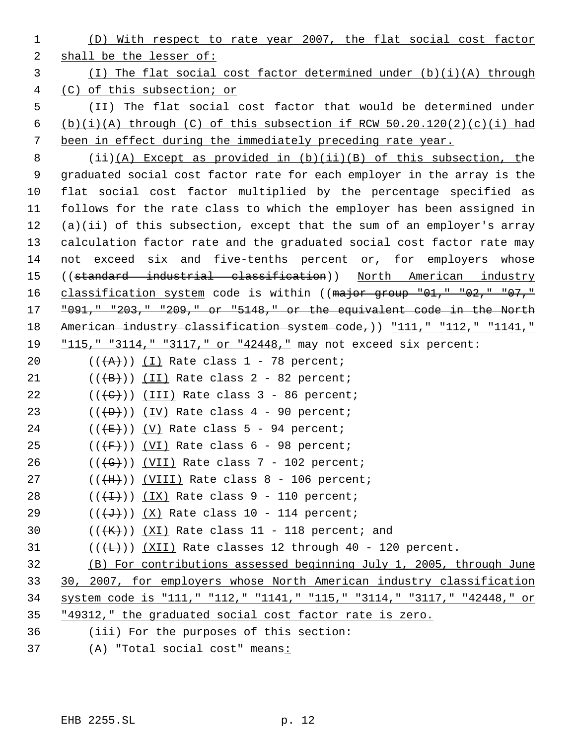(D) With respect to rate year 2007, the flat social cost factor shall be the lesser of: (I) The flat social cost factor determined under (b)(i)(A) through (C) of this subsection; or (II) The flat social cost factor that would be determined under 6 (b)(i)(A) through (C) of this subsection if RCW  $50.20.120(2)(c)(i)$  had been in effect during the immediately preceding rate year. (ii)(A) Except as provided in (b)(ii)(B) of this subsection, the graduated social cost factor rate for each employer in the array is the flat social cost factor multiplied by the percentage specified as follows for the rate class to which the employer has been assigned in (a)(ii) of this subsection, except that the sum of an employer's array calculation factor rate and the graduated social cost factor rate may not exceed six and five-tenths percent or, for employers whose ((standard industrial classification)) North American industry 16 classification system code is within ((major group "01," "02," "07," "091," "203," "209," or "5148," or the equivalent code in the North 18 American industry classification system code,)) "111," "112," "1141," "115," "3114," "3117," or "42448," may not exceed six percent:  $((+A)^{n})$   $(1)$  Rate class 1 - 78 percent;  $((+B))$  (II) Rate class 2 - 82 percent;  $((\text{ }(\text{ }t\text{ }))$  (III) Rate class 3 - 86 percent;  $((+D))$   $(IV)$  Rate class 4 - 90 percent;  $((\overline{E}))(V)$  Rate class 5 - 94 percent;  $((\overline{F}))$   $(VI)$  Rate class 6 - 98 percent;  $((\overline{G}))$   $(VII)$  Rate class 7 - 102 percent; (( $\overline{\text{+H}}$ )) (VIII) Rate class 8 - 106 percent;  $((+1))$   $(IX)$  Rate class 9 - 110 percent;  $((\overline{d}))(X)$  Rate class 10 - 114 percent;  $((\{K\}) \times (\{XI\})$  Rate class 11 - 118 percent; and ( $(\overline{+L})$ )  $(\overline{XII})$  Rate classes 12 through 40 - 120 percent. (B) For contributions assessed beginning July 1, 2005, through June 30, 2007, for employers whose North American industry classification system code is "111," "112," "1141," "115," "3114," "3117," "42448," or "49312," the graduated social cost factor rate is zero. (iii) For the purposes of this section: (A) "Total social cost" means: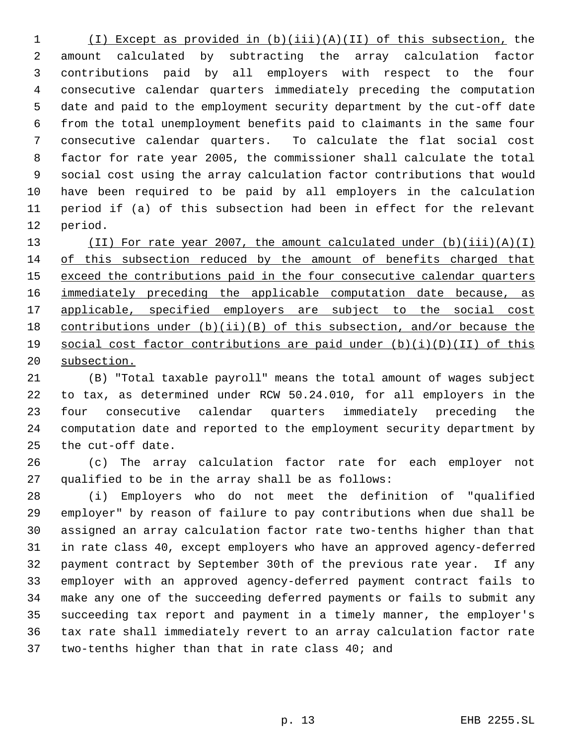(I) Except as provided in (b)(iii)(A)(II) of this subsection, the amount calculated by subtracting the array calculation factor contributions paid by all employers with respect to the four consecutive calendar quarters immediately preceding the computation date and paid to the employment security department by the cut-off date from the total unemployment benefits paid to claimants in the same four consecutive calendar quarters. To calculate the flat social cost factor for rate year 2005, the commissioner shall calculate the total social cost using the array calculation factor contributions that would have been required to be paid by all employers in the calculation period if (a) of this subsection had been in effect for the relevant period.

 (II) For rate year 2007, the amount calculated under (b)(iii)(A)(I) 14 of this subsection reduced by the amount of benefits charged that 15 exceed the contributions paid in the four consecutive calendar quarters 16 immediately preceding the applicable computation date because, as 17 applicable, specified employers are subject to the social cost contributions under (b)(ii)(B) of this subsection, and/or because the social cost factor contributions are paid under (b)(i)(D)(II) of this subsection.

 (B) "Total taxable payroll" means the total amount of wages subject to tax, as determined under RCW 50.24.010, for all employers in the four consecutive calendar quarters immediately preceding the computation date and reported to the employment security department by the cut-off date.

 (c) The array calculation factor rate for each employer not qualified to be in the array shall be as follows:

 (i) Employers who do not meet the definition of "qualified employer" by reason of failure to pay contributions when due shall be assigned an array calculation factor rate two-tenths higher than that in rate class 40, except employers who have an approved agency-deferred payment contract by September 30th of the previous rate year. If any employer with an approved agency-deferred payment contract fails to make any one of the succeeding deferred payments or fails to submit any succeeding tax report and payment in a timely manner, the employer's tax rate shall immediately revert to an array calculation factor rate two-tenths higher than that in rate class 40; and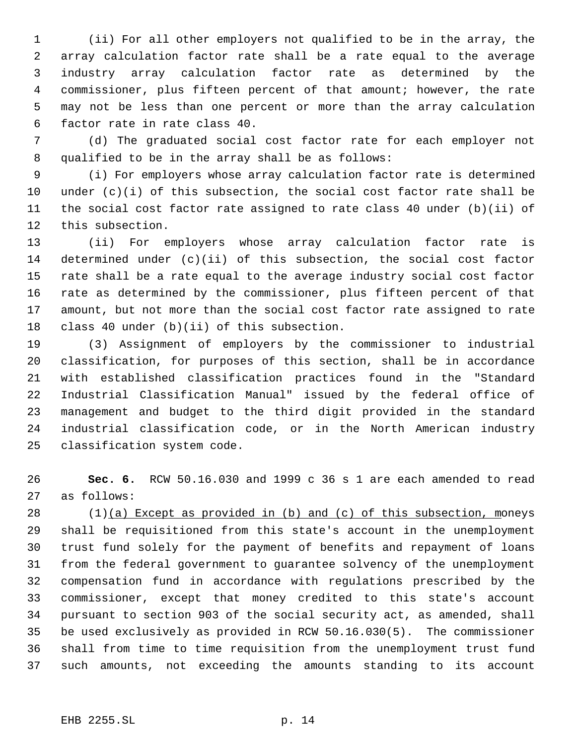(ii) For all other employers not qualified to be in the array, the array calculation factor rate shall be a rate equal to the average industry array calculation factor rate as determined by the commissioner, plus fifteen percent of that amount; however, the rate may not be less than one percent or more than the array calculation factor rate in rate class 40.

 (d) The graduated social cost factor rate for each employer not qualified to be in the array shall be as follows:

 (i) For employers whose array calculation factor rate is determined 10 under  $(c)(i)$  of this subsection, the social cost factor rate shall be the social cost factor rate assigned to rate class 40 under (b)(ii) of this subsection.

 (ii) For employers whose array calculation factor rate is determined under (c)(ii) of this subsection, the social cost factor rate shall be a rate equal to the average industry social cost factor rate as determined by the commissioner, plus fifteen percent of that amount, but not more than the social cost factor rate assigned to rate class 40 under (b)(ii) of this subsection.

 (3) Assignment of employers by the commissioner to industrial classification, for purposes of this section, shall be in accordance with established classification practices found in the "Standard Industrial Classification Manual" issued by the federal office of management and budget to the third digit provided in the standard industrial classification code, or in the North American industry classification system code.

 **Sec. 6.** RCW 50.16.030 and 1999 c 36 s 1 are each amended to read as follows:

 (1)(a) Except as provided in (b) and (c) of this subsection, moneys shall be requisitioned from this state's account in the unemployment trust fund solely for the payment of benefits and repayment of loans from the federal government to guarantee solvency of the unemployment compensation fund in accordance with regulations prescribed by the commissioner, except that money credited to this state's account pursuant to section 903 of the social security act, as amended, shall be used exclusively as provided in RCW 50.16.030(5). The commissioner shall from time to time requisition from the unemployment trust fund such amounts, not exceeding the amounts standing to its account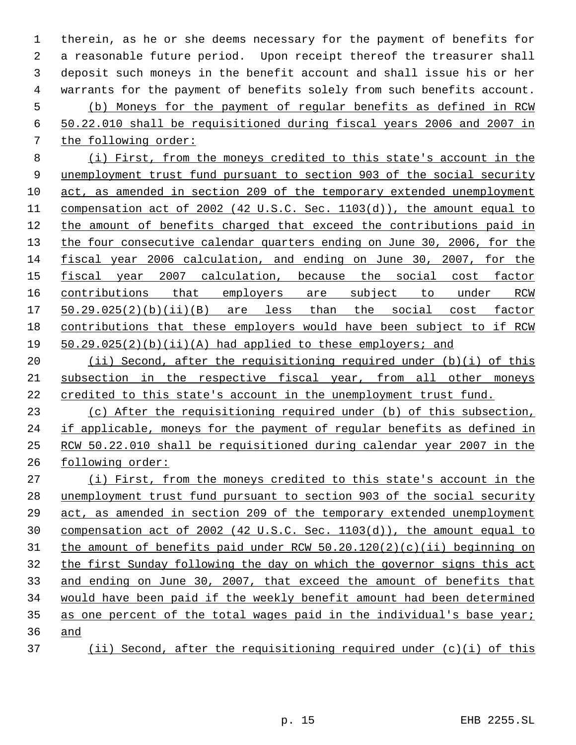therein, as he or she deems necessary for the payment of benefits for a reasonable future period. Upon receipt thereof the treasurer shall deposit such moneys in the benefit account and shall issue his or her warrants for the payment of benefits solely from such benefits account. (b) Moneys for the payment of regular benefits as defined in RCW 50.22.010 shall be requisitioned during fiscal years 2006 and 2007 in the following order:

 (i) First, from the moneys credited to this state's account in the unemployment trust fund pursuant to section 903 of the social security act, as amended in section 209 of the temporary extended unemployment compensation act of 2002 (42 U.S.C. Sec. 1103(d)), the amount equal to the amount of benefits charged that exceed the contributions paid in 13 the four consecutive calendar quarters ending on June 30, 2006, for the fiscal year 2006 calculation, and ending on June 30, 2007, for the fiscal year 2007 calculation, because the social cost factor 16 contributions that employers are subject to under RCW 50.29.025(2)(b)(ii)(B) are less than the social cost factor contributions that these employers would have been subject to if RCW 50.29.025(2)(b)(ii)(A) had applied to these employers; and

20 (ii) Second, after the requisitioning required under (b)(i) of this subsection in the respective fiscal year, from all other moneys 22 credited to this state's account in the unemployment trust fund.

 (c) After the requisitioning required under (b) of this subsection, if applicable, moneys for the payment of regular benefits as defined in RCW 50.22.010 shall be requisitioned during calendar year 2007 in the following order:

 (i) First, from the moneys credited to this state's account in the unemployment trust fund pursuant to section 903 of the social security act, as amended in section 209 of the temporary extended unemployment compensation act of 2002 (42 U.S.C. Sec. 1103(d)), the amount equal to the amount of benefits paid under RCW 50.20.120(2)(c)(ii) beginning on the first Sunday following the day on which the governor signs this act and ending on June 30, 2007, that exceed the amount of benefits that would have been paid if the weekly benefit amount had been determined 35 as one percent of the total wages paid in the individual's base year; and

(ii) Second, after the requisitioning required under (c)(i) of this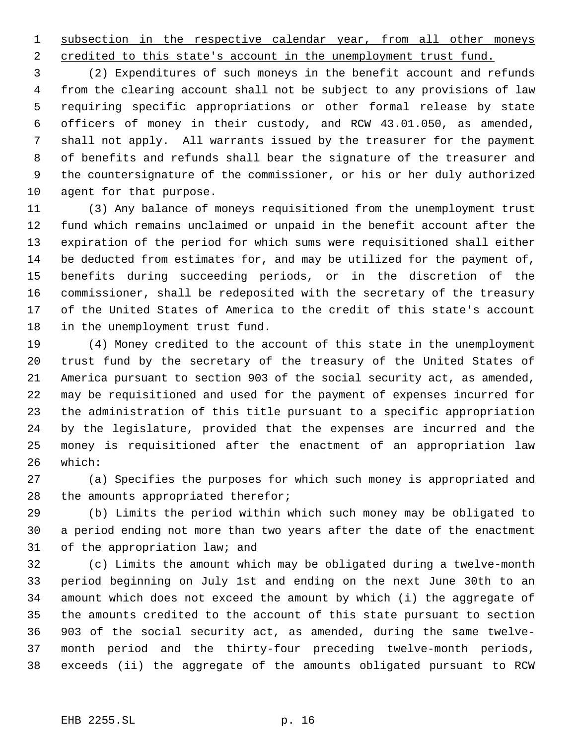1 subsection in the respective calendar year, from all other moneys

2 credited to this state's account in the unemployment trust fund.

 (2) Expenditures of such moneys in the benefit account and refunds from the clearing account shall not be subject to any provisions of law requiring specific appropriations or other formal release by state officers of money in their custody, and RCW 43.01.050, as amended, shall not apply. All warrants issued by the treasurer for the payment of benefits and refunds shall bear the signature of the treasurer and the countersignature of the commissioner, or his or her duly authorized agent for that purpose.

 (3) Any balance of moneys requisitioned from the unemployment trust fund which remains unclaimed or unpaid in the benefit account after the expiration of the period for which sums were requisitioned shall either be deducted from estimates for, and may be utilized for the payment of, benefits during succeeding periods, or in the discretion of the commissioner, shall be redeposited with the secretary of the treasury of the United States of America to the credit of this state's account in the unemployment trust fund.

 (4) Money credited to the account of this state in the unemployment trust fund by the secretary of the treasury of the United States of America pursuant to section 903 of the social security act, as amended, may be requisitioned and used for the payment of expenses incurred for the administration of this title pursuant to a specific appropriation by the legislature, provided that the expenses are incurred and the money is requisitioned after the enactment of an appropriation law which:

 (a) Specifies the purposes for which such money is appropriated and 28 the amounts appropriated therefor;

 (b) Limits the period within which such money may be obligated to a period ending not more than two years after the date of the enactment of the appropriation law; and

 (c) Limits the amount which may be obligated during a twelve-month period beginning on July 1st and ending on the next June 30th to an amount which does not exceed the amount by which (i) the aggregate of the amounts credited to the account of this state pursuant to section 903 of the social security act, as amended, during the same twelve- month period and the thirty-four preceding twelve-month periods, exceeds (ii) the aggregate of the amounts obligated pursuant to RCW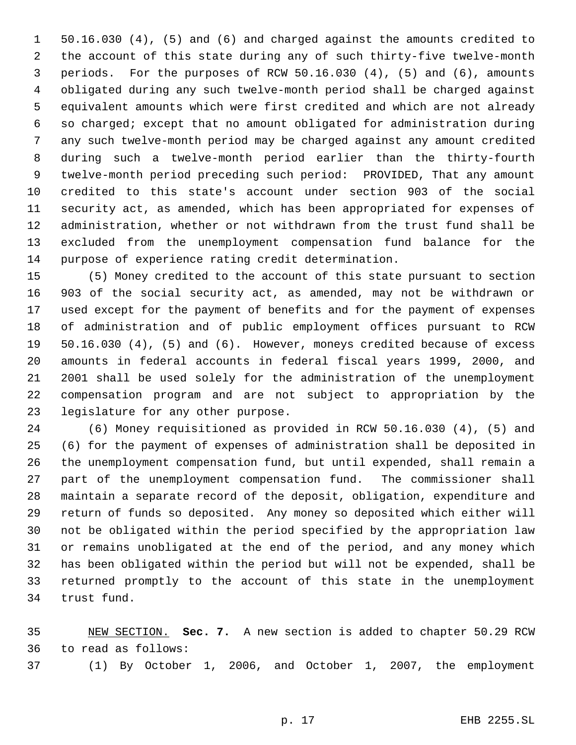50.16.030 (4), (5) and (6) and charged against the amounts credited to the account of this state during any of such thirty-five twelve-month periods. For the purposes of RCW 50.16.030 (4), (5) and (6), amounts obligated during any such twelve-month period shall be charged against equivalent amounts which were first credited and which are not already so charged; except that no amount obligated for administration during any such twelve-month period may be charged against any amount credited during such a twelve-month period earlier than the thirty-fourth twelve-month period preceding such period: PROVIDED, That any amount credited to this state's account under section 903 of the social security act, as amended, which has been appropriated for expenses of administration, whether or not withdrawn from the trust fund shall be excluded from the unemployment compensation fund balance for the purpose of experience rating credit determination.

 (5) Money credited to the account of this state pursuant to section 903 of the social security act, as amended, may not be withdrawn or used except for the payment of benefits and for the payment of expenses of administration and of public employment offices pursuant to RCW 50.16.030 (4), (5) and (6). However, moneys credited because of excess amounts in federal accounts in federal fiscal years 1999, 2000, and 2001 shall be used solely for the administration of the unemployment compensation program and are not subject to appropriation by the legislature for any other purpose.

 (6) Money requisitioned as provided in RCW 50.16.030 (4), (5) and (6) for the payment of expenses of administration shall be deposited in the unemployment compensation fund, but until expended, shall remain a part of the unemployment compensation fund. The commissioner shall maintain a separate record of the deposit, obligation, expenditure and return of funds so deposited. Any money so deposited which either will not be obligated within the period specified by the appropriation law or remains unobligated at the end of the period, and any money which has been obligated within the period but will not be expended, shall be returned promptly to the account of this state in the unemployment trust fund.

 NEW SECTION. **Sec. 7.** A new section is added to chapter 50.29 RCW to read as follows: (1) By October 1, 2006, and October 1, 2007, the employment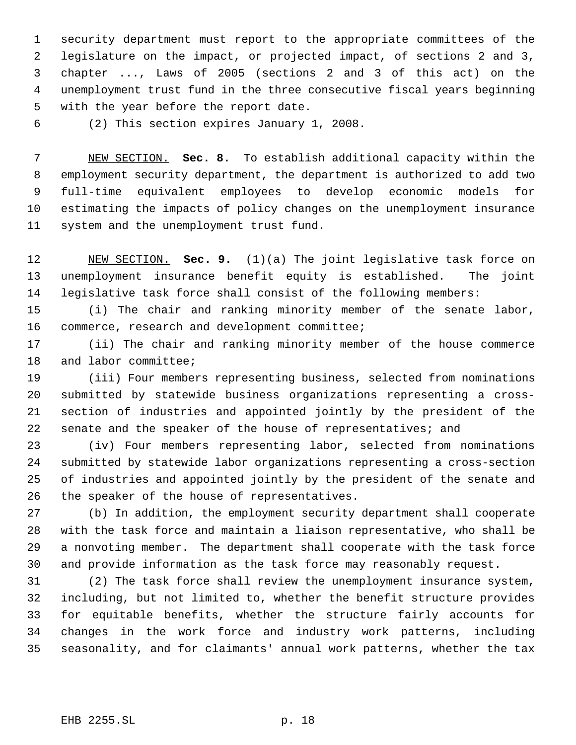security department must report to the appropriate committees of the legislature on the impact, or projected impact, of sections 2 and 3, chapter ..., Laws of 2005 (sections 2 and 3 of this act) on the unemployment trust fund in the three consecutive fiscal years beginning with the year before the report date.

(2) This section expires January 1, 2008.

 NEW SECTION. **Sec. 8.** To establish additional capacity within the employment security department, the department is authorized to add two full-time equivalent employees to develop economic models for estimating the impacts of policy changes on the unemployment insurance system and the unemployment trust fund.

 NEW SECTION. **Sec. 9.** (1)(a) The joint legislative task force on unemployment insurance benefit equity is established. The joint legislative task force shall consist of the following members:

 (i) The chair and ranking minority member of the senate labor, commerce, research and development committee;

 (ii) The chair and ranking minority member of the house commerce and labor committee;

 (iii) Four members representing business, selected from nominations submitted by statewide business organizations representing a cross- section of industries and appointed jointly by the president of the 22 senate and the speaker of the house of representatives; and

 (iv) Four members representing labor, selected from nominations submitted by statewide labor organizations representing a cross-section of industries and appointed jointly by the president of the senate and the speaker of the house of representatives.

 (b) In addition, the employment security department shall cooperate with the task force and maintain a liaison representative, who shall be a nonvoting member. The department shall cooperate with the task force and provide information as the task force may reasonably request.

 (2) The task force shall review the unemployment insurance system, including, but not limited to, whether the benefit structure provides for equitable benefits, whether the structure fairly accounts for changes in the work force and industry work patterns, including seasonality, and for claimants' annual work patterns, whether the tax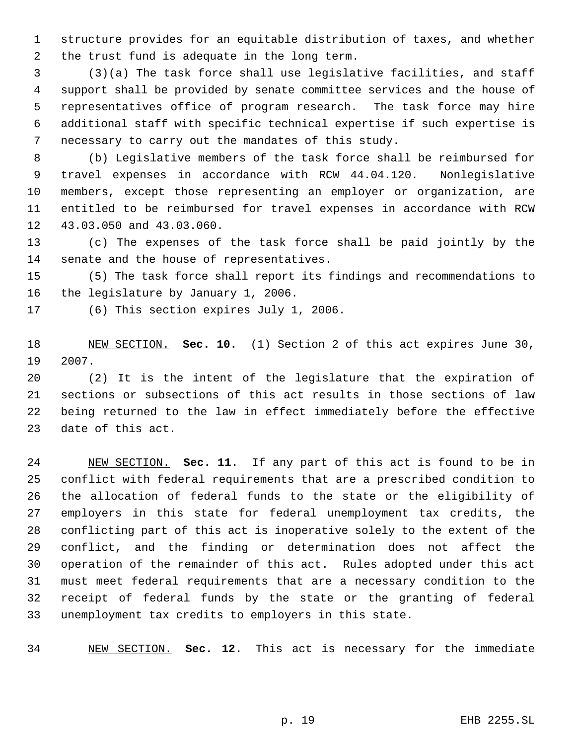structure provides for an equitable distribution of taxes, and whether the trust fund is adequate in the long term.

 (3)(a) The task force shall use legislative facilities, and staff support shall be provided by senate committee services and the house of representatives office of program research. The task force may hire additional staff with specific technical expertise if such expertise is necessary to carry out the mandates of this study.

 (b) Legislative members of the task force shall be reimbursed for travel expenses in accordance with RCW 44.04.120. Nonlegislative members, except those representing an employer or organization, are entitled to be reimbursed for travel expenses in accordance with RCW 43.03.050 and 43.03.060.

 (c) The expenses of the task force shall be paid jointly by the senate and the house of representatives.

 (5) The task force shall report its findings and recommendations to the legislature by January 1, 2006.

(6) This section expires July 1, 2006.

 NEW SECTION. **Sec. 10.** (1) Section 2 of this act expires June 30, 2007.

 (2) It is the intent of the legislature that the expiration of sections or subsections of this act results in those sections of law being returned to the law in effect immediately before the effective date of this act.

 NEW SECTION. **Sec. 11.** If any part of this act is found to be in conflict with federal requirements that are a prescribed condition to the allocation of federal funds to the state or the eligibility of employers in this state for federal unemployment tax credits, the conflicting part of this act is inoperative solely to the extent of the conflict, and the finding or determination does not affect the operation of the remainder of this act. Rules adopted under this act must meet federal requirements that are a necessary condition to the receipt of federal funds by the state or the granting of federal unemployment tax credits to employers in this state.

NEW SECTION. **Sec. 12.** This act is necessary for the immediate